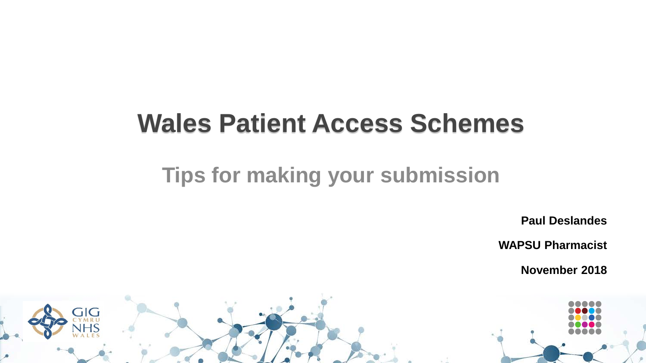# **Wales Patient Access Schemes**

#### **Tips for making your submission**

**Paul Deslandes**

**WAPSU Pharmacist**

**November 2018**

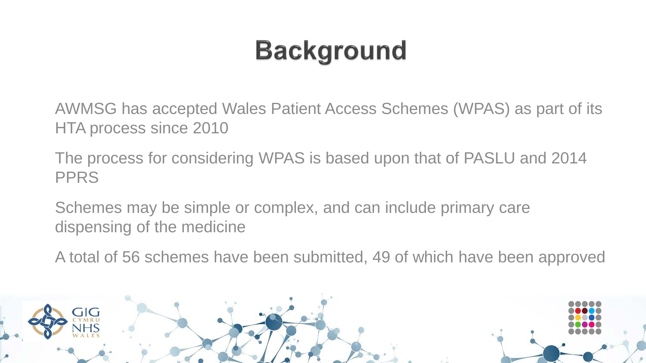# **Background**

AWMSG has accepted Wales Patient Access Schemes (WPAS) as part of its HTA process since 2010

The process for considering WPAS is based upon that of PASLU and 2014 PPRS

Schemes may be simple or complex, and can include primary care dispensing of the medicine

A total of 56 schemes have been submitted, 49 of which have been approved

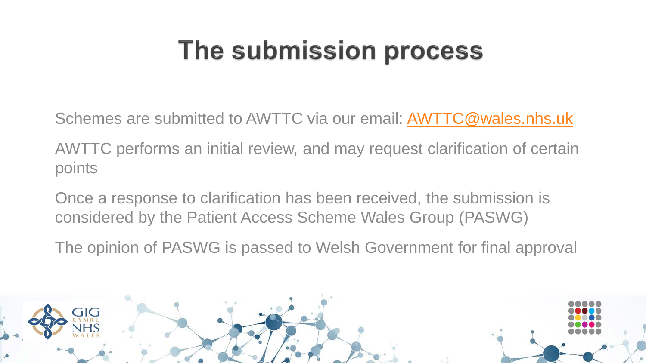# The submission process

Schemes are submitted to AWTTC via our email: [AWTTC@wales.nhs.uk](mailto:AWTTC@wales.nhs.uk)

AWTTC performs an initial review, and may request clarification of certain points

Once a response to clarification has been received, the submission is considered by the Patient Access Scheme Wales Group (PASWG)

The opinion of PASWG is passed to Welsh Government for final approval

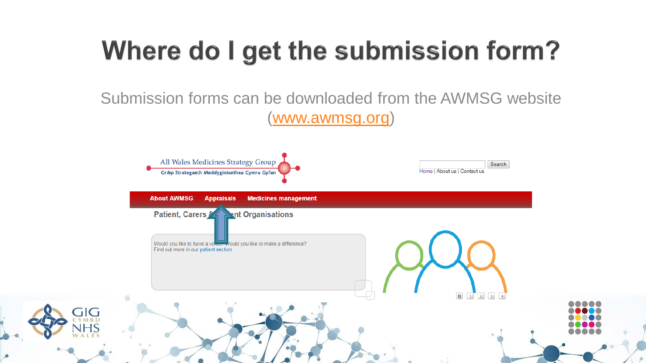# Where do I get the submission form?

Submission forms can be downloaded from the AWMSG website ([www.awmsg.org](http://www.awmsg.org/))

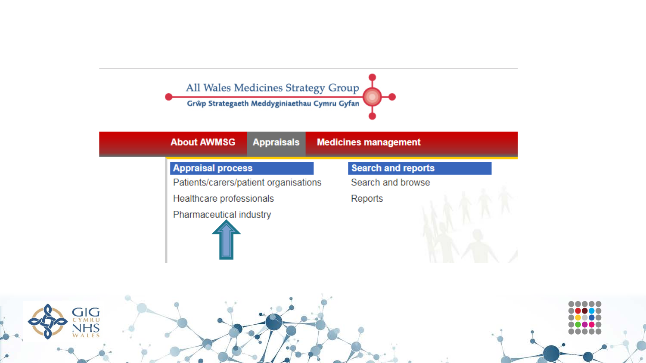

GIG

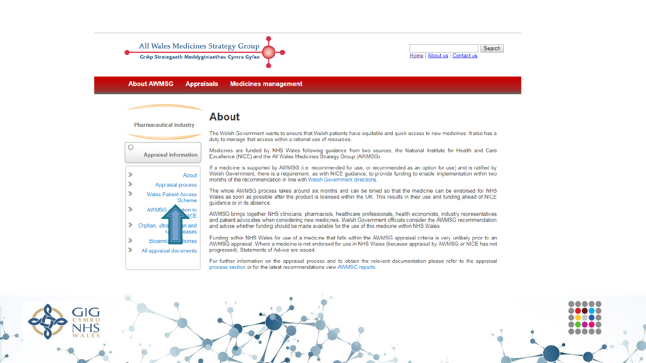

#### **About**

**Pharmaceutical industry** 



The Welsh Government wants to ensure that Welsh patients have equitable and quick access to new medicines. It also has a duty to manage that access within a rational use of resources.

Medicines are funded by NHS Wales following quidance from two sources, the National Institute for Health and Care Excellence (NICE) and the All Wales Medicines Strategy Group (AWMSG).

If a medicine is supported by AWMSG (i.e. recommended for use, or recommended as an option for use) and is ratified by Welsh Government, there is a requirement, as with NICE quidance, to provide funding to enable implementation within two months of the recommendation in line with Welsh Government directions.

The whole AWMSG process takes around six months and can be timed so that the medicine can be endorsed for NHS Wales as soon as possible after the product is licensed within the UK. This results in their use and funding ahead of NICE guidance or in its absence.

AWMSG brings together NHS clinicians, pharmacists, healthcare professionals, health economists, industry representatives and patient advocates when considering new medicines. Welsh Government officials consider the AWMSG recommendation and advise whether funding should be made available for the use of this medicine within NHS Wales.

Funding within NHS Wales for use of a medicine that falls within the AWMSG appraisal criteria is very unlikely prior to an AWMSG appraisal. Where a medicine is not endorsed for use in NHS Wales (because appraisal by AWMSG or NICE has not progressed), Statements of Advice are issued.

For further information on the appraisal process and to obtain the relevant documentation please refer to the appraisal process section or for the latest recommendations view AWMSG reports.

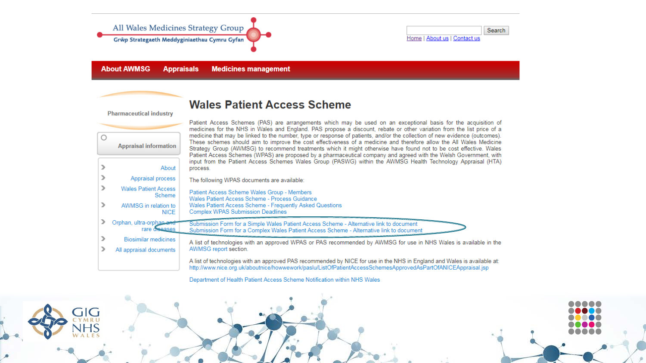

**About AWMSG Appraisals Medicines management** 

#### **Wales Patient Access Scheme**

**Pharmaceutical industry** 

|            | <u>I IIIIIIIIICCUUCHI IIIUUSU Y</u>       |                                                                                                                                                                                                                                                                                                                                                                                                                                                                                                                                                                                                                                                                                                                                                                                                                                                                      |
|------------|-------------------------------------------|----------------------------------------------------------------------------------------------------------------------------------------------------------------------------------------------------------------------------------------------------------------------------------------------------------------------------------------------------------------------------------------------------------------------------------------------------------------------------------------------------------------------------------------------------------------------------------------------------------------------------------------------------------------------------------------------------------------------------------------------------------------------------------------------------------------------------------------------------------------------|
| $\bigcirc$ | <b>Appraisal information</b>              | Patient Access Schemes (PAS) are arrangements which may be used on an exceptional basis for the acquisition of<br>medicines for the NHS in Wales and England. PAS propose a discount, rebate or other variation from the list price of a<br>medicine that may be linked to the number, type or response of patients, and/or the collection of new evidence (outcomes).<br>These schemes should aim to improve the cost effectiveness of a medicine and therefore allow the All Wales Medicine<br>Strategy Group (AWMSG) to recommend treatments which it might otherwise have found not to be cost effective. Wales<br>Patient Access Schemes (WPAS) are proposed by a pharmaceutical company and agreed with the Welsh Government, with<br>input from the Patient Access Schemes Wales Group (PASWG) within the AWMSG Health Technology Appraisal (HTA)<br>process. |
|            | About                                     |                                                                                                                                                                                                                                                                                                                                                                                                                                                                                                                                                                                                                                                                                                                                                                                                                                                                      |
|            | Appraisal process                         | The following WPAS documents are available:                                                                                                                                                                                                                                                                                                                                                                                                                                                                                                                                                                                                                                                                                                                                                                                                                          |
|            | <b>Wales Patient Access</b><br>Scheme     | Patient Access Scheme Wales Group - Members<br>Wales Patient Access Scheme - Process Guidance<br>Wales Patient Access Scheme - Frequently Asked Questions<br><b>Complex WPAS Submission Deadlines</b>                                                                                                                                                                                                                                                                                                                                                                                                                                                                                                                                                                                                                                                                |
|            | AWMSG in relation to<br><b>NICE</b>       |                                                                                                                                                                                                                                                                                                                                                                                                                                                                                                                                                                                                                                                                                                                                                                                                                                                                      |
|            | Orphan, ultra-orphan and<br>rare diseases | Submission Form for a Simple Wales Patient Access Scheme - Alternative link to document<br>Submission Form for a Complex Wales Patient Access Scheme - Alternative link to document                                                                                                                                                                                                                                                                                                                                                                                                                                                                                                                                                                                                                                                                                  |
|            | <b>Biosimilar medicines</b>               | A list of technologies with an approved WPAS or PAS recommended by AWMSG for use in NHS Wales is available in the<br>AWMSG report section.                                                                                                                                                                                                                                                                                                                                                                                                                                                                                                                                                                                                                                                                                                                           |
|            | All appraisal documents                   |                                                                                                                                                                                                                                                                                                                                                                                                                                                                                                                                                                                                                                                                                                                                                                                                                                                                      |
|            |                                           | A list of technologies with an approved PAS recommended by NICE for use in the NHS in England and Wales is available at:<br>http://www.nice.org.uk/aboutnice/howwework/paslu/ListOfPatientAccessSchemesApprovedAsPartOfANICEAppraisal.jsp                                                                                                                                                                                                                                                                                                                                                                                                                                                                                                                                                                                                                            |

Department of Health Patient Access Scheme Notification within NHS Wales

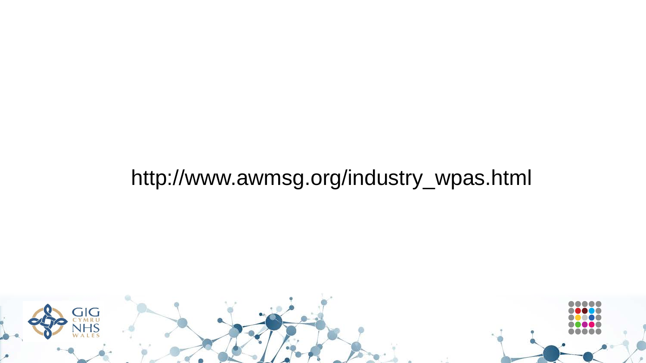#### http://www.awmsg.org/industry\_wpas.html

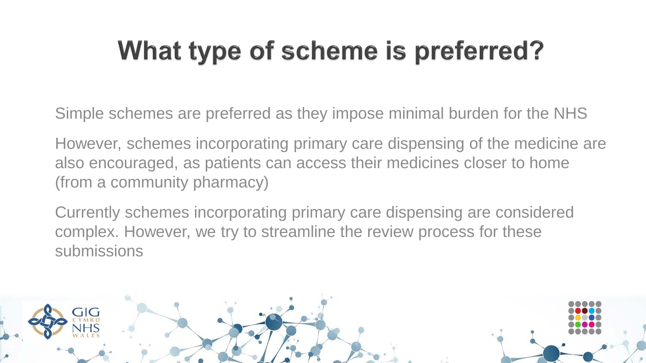# What type of scheme is preferred?

Simple schemes are preferred as they impose minimal burden for the NHS

However, schemes incorporating primary care dispensing of the medicine are also encouraged, as patients can access their medicines closer to home (from a community pharmacy)

Currently schemes incorporating primary care dispensing are considered complex. However, we try to streamline the review process for these submissions

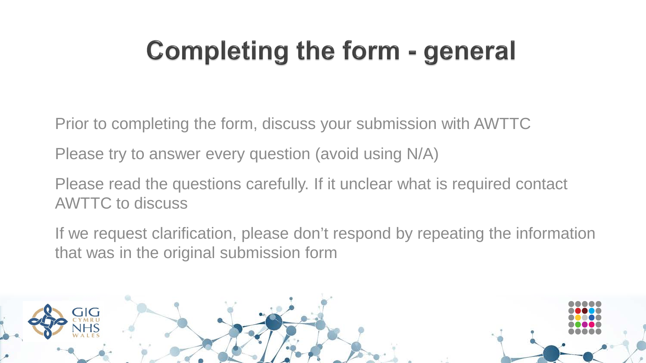# **Completing the form - general**

Prior to completing the form, discuss your submission with AWTTC

Please try to answer every question (avoid using N/A)

Please read the questions carefully. If it unclear what is required contact AWTTC to discuss

If we request clarification, please don't respond by repeating the information that was in the original submission form

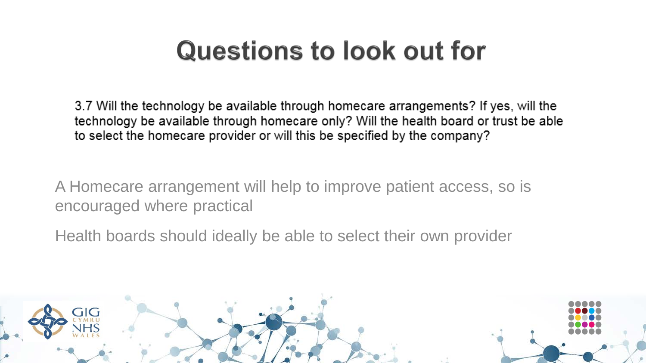3.7 Will the technology be available through homecare arrangements? If yes, will the technology be available through homecare only? Will the health board or trust be able to select the homecare provider or will this be specified by the company?

A Homecare arrangement will help to improve patient access, so is encouraged where practical

Health boards should ideally be able to select their own provider

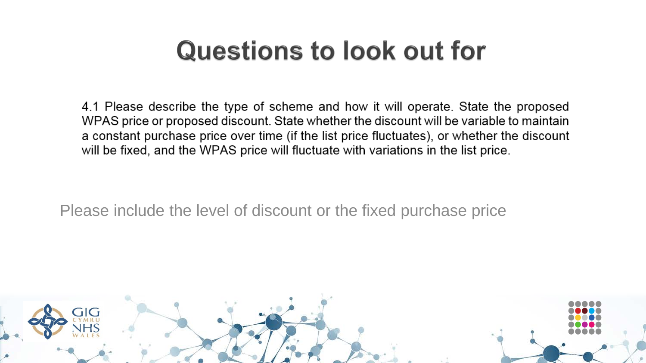4.1 Please describe the type of scheme and how it will operate. State the proposed WPAS price or proposed discount. State whether the discount will be variable to maintain a constant purchase price over time (if the list price fluctuates), or whether the discount will be fixed, and the WPAS price will fluctuate with variations in the list price.

Please include the level of discount or the fixed purchase price

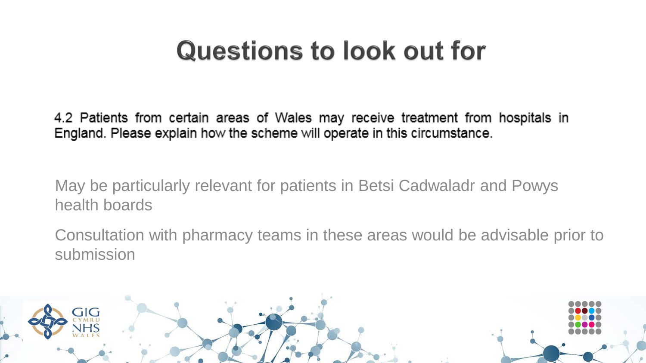4.2 Patients from certain areas of Wales may receive treatment from hospitals in England. Please explain how the scheme will operate in this circumstance.

May be particularly relevant for patients in Betsi Cadwaladr and Powys health boards

Consultation with pharmacy teams in these areas would be advisable prior to submission

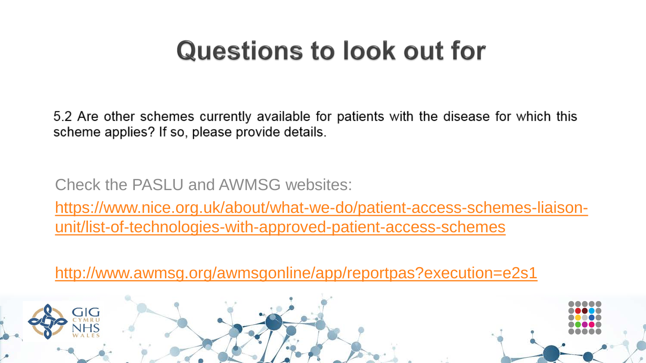5.2 Are other schemes currently available for patients with the disease for which this scheme applies? If so, please provide details.

Check the PASLU and AWMSG websites:

[https://www.nice.org.uk/about/what-we-do/patient-access-schemes-liaison](https://www.nice.org.uk/about/what-we-do/patient-access-schemes-liaison-unit/list-of-technologies-with-approved-patient-access-schemes)unit/list-of-technologies-with-approved-patient-access-schemes

<http://www.awmsg.org/awmsgonline/app/reportpas?execution=e2s1>

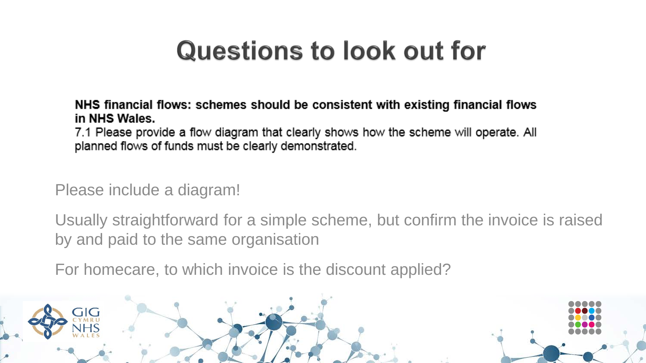NHS financial flows: schemes should be consistent with existing financial flows in NHS Wales.

7.1 Please provide a flow diagram that clearly shows how the scheme will operate. All planned flows of funds must be clearly demonstrated.

Please include a diagram!

Usually straightforward for a simple scheme, but confirm the invoice is raised by and paid to the same organisation

For homecare, to which invoice is the discount applied?